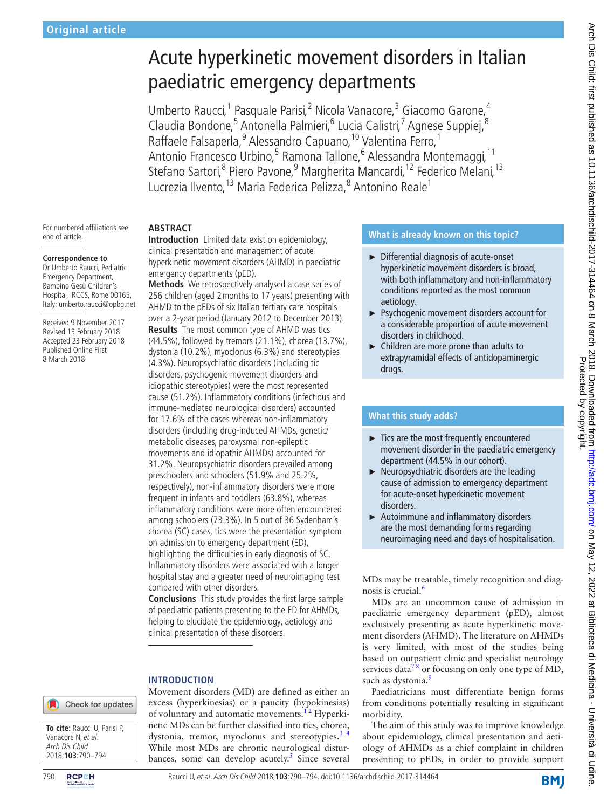# Acute hyperkinetic movement disorders in Italian paediatric emergency departments

Umberto Raucci,<sup>1</sup> Pasquale Parisi,<sup>2</sup> Nicola Vanacore,<sup>3</sup> Giacomo Garone,<sup>4</sup> Claudia Bondone,<sup>5</sup> Antonella Palmieri,<sup>6</sup> Lucia Calistri,<sup>7</sup> Agnese Suppiej,<sup>8</sup> Raffaele Falsaperla, <sup>9</sup> Alessandro Capuano, <sup>10</sup> Valentina Ferro, <sup>1</sup> Antonio Francesco Urbino,<sup>5</sup> Ramona Tallone,<sup>6</sup> Alessandra Montemaggi, <sup>11</sup> Stefano Sartori,<sup>8</sup> Piero Pavone,<sup>9</sup> Margherita Mancardi,<sup>12</sup> Federico Melani,<sup>13</sup> Lucrezia Ilvento, <sup>13</sup> Maria Federica Pelizza, <sup>8</sup> Antonino Reale<sup>1</sup>

For numbered affiliations see end of article.

#### **Correspondence to**

Dr Umberto Raucci, Pediatric Emergency Department, Bambino Gesù Children's Hospital, IRCCS, Rome 00165, Italy; umberto.raucci@opbg.net

Received 9 November 2017 Revised 13 February 2018 Accepted 23 February 2018 Published Online First 8 March 2018

**Abstract Introduction** Limited data exist on epidemiology, clinical presentation and management of acute hyperkinetic movement disorders (AHMD) in paediatric emergency departments (pED).

**Methods** We retrospectively analysed a case series of 256 children (aged 2months to 17 years) presenting with AHMD to the pEDs of six Italian tertiary care hospitals over a 2-year period (January 2012 to December 2013). **Results** The most common type of AHMD was tics (44.5%), followed by tremors (21.1%), chorea (13.7%), dystonia (10.2%), myoclonus (6.3%) and stereotypies (4.3%). Neuropsychiatric disorders (including tic disorders, psychogenic movement disorders and idiopathic stereotypies) were the most represented cause (51.2%). Inflammatory conditions (infectious and immune-mediated neurological disorders) accounted for 17.6% of the cases whereas non-inflammatory disorders (including drug-induced AHMDs, genetic/ metabolic diseases, paroxysmal non-epileptic movements and idiopathic AHMDs) accounted for 31.2%. Neuropsychiatric disorders prevailed among preschoolers and schoolers (51.9% and 25.2%, respectively), non-inflammatory disorders were more frequent in infants and toddlers (63.8%), whereas inflammatory conditions were more often encountered among schoolers (73.3%). In 5 out of 36 Sydenham's chorea (SC) cases, tics were the presentation symptom on admission to emergency department (ED), highlighting the difficulties in early diagnosis of SC. Inflammatory disorders were associated with a longer hospital stay and a greater need of neuroimaging test compared with other disorders.

**Conclusions** This study provides the first large sample of paediatric patients presenting to the ED for AHMDs, helping to elucidate the epidemiology, aetiology and clinical presentation of these disorders.

# **Introduction**



**To cite:** Raucci U, Parisi P, Vanacore N, et al. Arch Dis Child 2018;**103**:790–794.

Movement disorders (MD) are defined as either an excess (hyperkinesias) or a paucity (hypokinesias) of voluntary and automatic movements.<sup>12</sup> Hyperkinetic MDs can be further classified into tics, chorea, dystonia, tremor, myoclonus and stereotypies.<sup>3</sup><sup>4</sup> While most MDs are chronic neurological disturbances, some can develop acutely.<sup>5</sup> Since several

# **What is already known on this topic?**

- ► Differential diagnosis of acute-onset hyperkinetic movement disorders is broad, with both inflammatory and non-inflammatory conditions reported as the most common aetiology.
- ► Psychogenic movement disorders account for a considerable proportion of acute movement disorders in childhood.
- ► Children are more prone than adults to extrapyramidal effects of antidopaminergic drugs.

# **What this study adds?**

- ► Tics are the most frequently encountered movement disorder in the paediatric emergency department (44.5% in our cohort).
- ► Neuropsychiatric disorders are the leading cause of admission to emergency department for acute-onset hyperkinetic movement disorders.
- ► Autoimmune and inflammatory disorders are the most demanding forms regarding neuroimaging need and days of hospitalisation.

MDs may be treatable, timely recognition and diag-nosis is crucial.<sup>[6](#page-4-3)</sup>

MDs are an uncommon cause of admission in paediatric emergency department (pED), almost exclusively presenting as acute hyperkinetic movement disorders (AHMD). The literature on AHMDs is very limited, with most of the studies being based on outpatient clinic and specialist neurology services data<sup>78</sup> or focusing on only one type of MD, such as dystonia.<sup>9</sup>

Paediatricians must differentiate benign forms from conditions potentially resulting in significant morbidity.

The aim of this study was to improve knowledge about epidemiology, clinical presentation and aetiology of AHMDs as a chief complaint in children presenting to pEDs, in order to provide support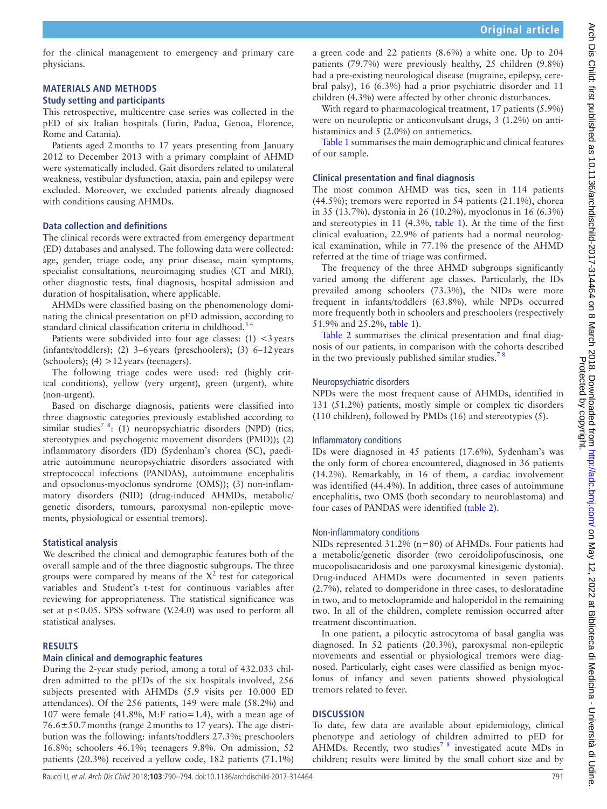for the clinical management to emergency and primary care physicians.

### **Materials and methods**

#### **Study setting and participants**

This retrospective, multicentre case series was collected in the pED of six Italian hospitals (Turin, Padua, Genoa, Florence, Rome and Catania).

Patients aged 2months to 17 years presenting from January 2012 to December 2013 with a primary complaint of AHMD were systematically included. Gait disorders related to unilateral weakness, vestibular dysfunction, ataxia, pain and epilepsy were excluded. Moreover, we excluded patients already diagnosed with conditions causing AHMDs.

#### **Data collection and definitions**

The clinical records were extracted from emergency department (ED) databases and analysed. The following data were collected: age, gender, triage code, any prior disease, main symptoms, specialist consultations, neuroimaging studies (CT and MRI), other diagnostic tests, final diagnosis, hospital admission and duration of hospitalisation, where applicable.

AHMDs were classified basing on the phenomenology dominating the clinical presentation on pED admission, according to standard clinical classification criteria in childhood.<sup>34</sup>

Patients were subdivided into four age classes:  $(1)$  <3 years (infants/toddlers); (2) 3–6years (preschoolers); (3) 6–12years (schoolers);  $(4)$  > 12 years (teenagers).

The following triage codes were used: red (highly critical conditions), yellow (very urgent), green (urgent), white (non-urgent).

Based on discharge diagnosis, patients were classified into three diagnostic categories previously established according to similar studies<sup>78</sup>: (1) neuropsychiatric disorders (NPD) (tics, stereotypies and psychogenic movement disorders (PMD)); (2) inflammatory disorders (ID) (Sydenham's chorea (SC), paediatric autoimmune neuropsychiatric disorders associated with streptococcal infections (PANDAS), autoimmune encephalitis and opsoclonus-myoclonus syndrome (OMS)); (3) non-inflammatory disorders (NID) (drug-induced AHMDs, metabolic/ genetic disorders, tumours, paroxysmal non-epileptic movements, physiological or essential tremors).

#### **Statistical analysis**

We described the clinical and demographic features both of the overall sample and of the three diagnostic subgroups. The three groups were compared by means of the  $X^2$  test for categorical variables and Student's t*-*test for continuous variables after reviewing for appropriateness. The statistical significance was set at p<0.05. SPSS software (V.24.0) was used to perform all statistical analyses.

#### **Results**

#### **Main clinical and demographic features**

During the 2-year study period, among a total of 432.033 children admitted to the pEDs of the six hospitals involved, 256 subjects presented with AHMDs (5.9 visits per 10.000 ED attendances). Of the 256 patients, 149 were male (58.2%) and 107 were female (41.8%, M:F ratio=1.4), with a mean age of  $76.6 \pm 50.7$  months (range 2 months to 17 years). The age distribution was the following: infants/toddlers 27.3%; preschoolers 16.8%; schoolers 46.1%; teenagers 9.8%. On admission, 52 patients (20.3%) received a yellow code, 182 patients (71.1%)

a green code and 22 patients (8.6%) a white one. Up to 204 patients (79.7%) were previously healthy, 25 children (9.8%) had a pre-existing neurological disease (migraine, epilepsy, cerebral palsy), 16 (6.3%) had a prior psychiatric disorder and 11 children (4.3%) were affected by other chronic disturbances.

With regard to pharmacological treatment, 17 patients (5.9%) were on neuroleptic or anticonvulsant drugs, 3 (1.2%) on antihistaminics and 5 (2.0%) on antiemetics.

[Table](#page-2-0) 1 summarises the main demographic and clinical features of our sample.

#### **Clinical presentation and final diagnosis**

The most common AHMD was tics, seen in 114 patients (44.5%); tremors were reported in 54 patients (21.1%), chorea in 35 (13.7%), dystonia in 26 (10.2%), myoclonus in 16 (6.3%) and stereotypies in 11 (4.3%, [table](#page-2-0) 1). At the time of the first clinical evaluation, 22.9% of patients had a normal neurological examination, while in 77.1% the presence of the AHMD referred at the time of triage was confirmed.

The frequency of the three AHMD subgroups significantly varied among the different age classes. Particularly, the IDs prevailed among schoolers (73.3%), the NIDs were more frequent in infants/toddlers (63.8%), while NPDs occurred more frequently both in schoolers and preschoolers (respectively 51.9% and 25.2%, [table](#page-2-0) 1).

[Table](#page-3-0) 2 summarises the clinical presentation and final diagnosis of our patients, in comparison with the cohorts described in the two previously published similar studies.<sup>78</sup>

#### Neuropsychiatric disorders

NPDs were the most frequent cause of AHMDs, identified in 131 (51.2%) patients, mostly simple or complex tic disorders (110 children), followed by PMDs (16) and stereotypies (5).

#### Inflammatory conditions

IDs were diagnosed in 45 patients (17.6%), Sydenham's was the only form of chorea encountered, diagnosed in 36 patients (14.2%). Remarkably, in 16 of them, a cardiac involvement was identified (44.4%). In addition, three cases of autoimmune encephalitis, two OMS (both secondary to neuroblastoma) and four cases of PANDAS were identified ([table](#page-3-0) 2).

#### Non-inflammatory conditions

NIDs represented 31.2% (n=80) of AHMDs. Four patients had a metabolic/genetic disorder (two ceroidolipofuscinosis, one mucopolisacaridosis and one paroxysmal kinesigenic dystonia). Drug-induced AHMDs were documented in seven patients (2.7%), related to domperidone in three cases, to desloratadine in two, and to metoclopramide and haloperidol in the remaining two. In all of the children, complete remission occurred after treatment discontinuation.

In one patient, a pilocytic astrocytoma of basal ganglia was diagnosed. In 52 patients (20.3%), paroxysmal non-epileptic movements and essential or physiological tremors were diagnosed. Particularly, eight cases were classified as benign myoclonus of infancy and seven patients showed physiological tremors related to fever.

#### **Discussion**

To date, few data are available about epidemiology, clinical phenotype and aetiology of children admitted to pED for AHMDs. Recently, two studies<sup>7 8</sup> investigated acute MDs in children; results were limited by the small cohort size and by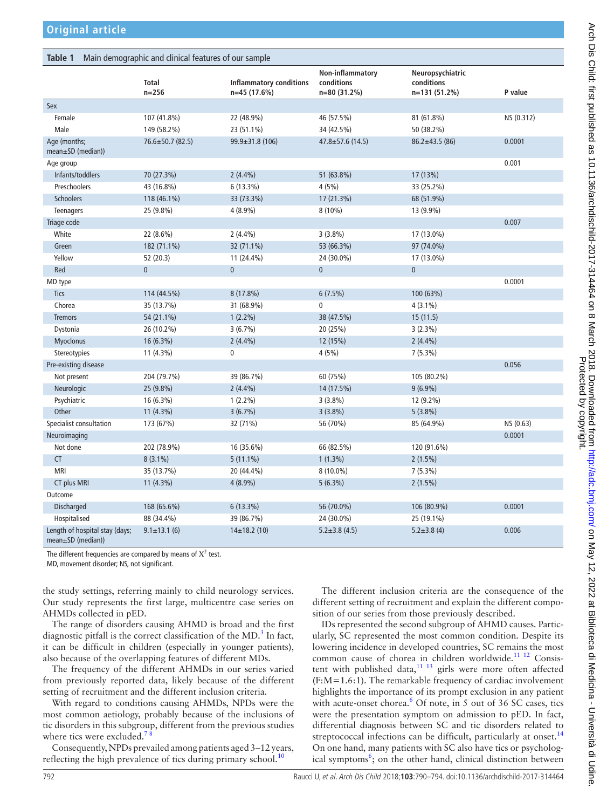#### <span id="page-2-0"></span>**Table 1** Main demographic and clinical features of our sample

|                                                     | <b>Total</b><br>$n = 256$ | <b>Inflammatory conditions</b><br>n=45 (17.6%) | Non-inflammatory<br>conditions<br>n=80 (31.2%) | Neuropsychiatric<br>conditions<br>n=131 (51.2%) | P value    |
|-----------------------------------------------------|---------------------------|------------------------------------------------|------------------------------------------------|-------------------------------------------------|------------|
| Sex                                                 |                           |                                                |                                                |                                                 |            |
| Female                                              | 107 (41.8%)               | 22 (48.9%)                                     | 46 (57.5%)                                     | 81 (61.8%)                                      | NS (0.312) |
| Male                                                | 149 (58.2%)               | 23 (51.1%)                                     | 34 (42.5%)                                     | 50 (38.2%)                                      |            |
| Age (months;<br>mean±SD (median))                   | $76.6 \pm 50.7$ (82.5)    | $99.9 \pm 31.8$ (106)                          | $47.8 \pm 57.6$ (14.5)                         | $86.2 \pm 43.5$ (86)                            | 0.0001     |
| Age group                                           |                           |                                                |                                                |                                                 | 0.001      |
| Infants/toddlers                                    | 70 (27.3%)                | $2(4.4\%)$                                     | 51 (63.8%)                                     | 17 (13%)                                        |            |
| Preschoolers                                        | 43 (16.8%)                | $6(13.3\%)$                                    | 4(5%)                                          | 33 (25.2%)                                      |            |
| <b>Schoolers</b>                                    | 118 (46.1%)               | 33 (73.3%)                                     | 17 (21.3%)                                     | 68 (51.9%)                                      |            |
| <b>Teenagers</b>                                    | 25 (9.8%)                 | $4(8.9\%)$                                     | $8(10\%)$                                      | 13 (9.9%)                                       |            |
| Triage code                                         |                           |                                                |                                                |                                                 | 0.007      |
| White                                               | 22 (8.6%)                 | $2(4.4\%)$                                     | $3(3.8\%)$                                     | 17 (13.0%)                                      |            |
| Green                                               | 182 (71.1%)               | 32 (71.1%)                                     | 53 (66.3%)                                     | 97 (74.0%)                                      |            |
| Yellow                                              | 52 (20.3)                 | 11 (24.4%)                                     | 24 (30.0%)                                     | 17 (13.0%)                                      |            |
| Red                                                 | $\pmb{0}$                 | $\mathbf{0}$                                   | $\mathbf{0}$                                   | $\pmb{0}$                                       |            |
| MD type                                             |                           |                                                |                                                |                                                 | 0.0001     |
| <b>Tics</b>                                         | 114 (44.5%)               | 8 (17.8%)                                      | 6(7.5%)                                        | 100 (63%)                                       |            |
| Chorea                                              | 35 (13.7%)                | 31 (68.9%)                                     | 0                                              | $4(3.1\%)$                                      |            |
| <b>Tremors</b>                                      | 54 (21.1%)                | $1(2.2\%)$                                     | 38 (47.5%)                                     | 15(11.5)                                        |            |
| Dystonia                                            | 26 (10.2%)                | $3(6.7\%)$                                     | 20 (25%)                                       | $3(2.3\%)$                                      |            |
| Myoclonus                                           | $16(6.3\%)$               | $2(4.4\%)$                                     | 12 (15%)                                       | $2(4.4\%)$                                      |            |
| Stereotypies                                        | 11 (4.3%)                 | $\mathbf{0}$                                   | 4 (5%)                                         | $7(5.3\%)$                                      |            |
| Pre-existing disease                                |                           |                                                |                                                |                                                 | 0.056      |
| Not present                                         | 204 (79.7%)               | 39 (86.7%)                                     | 60 (75%)                                       | 105 (80.2%)                                     |            |
| Neurologic                                          | 25 (9.8%)                 | $2(4.4\%)$                                     | 14 (17.5%)                                     | $9(6.9\%)$                                      |            |
| Psychiatric                                         | 16 (6.3%)                 | $1(2.2\%)$                                     | $3(3.8\%)$                                     | 12 (9.2%)                                       |            |
| Other                                               | $11(4.3\%)$               | 3(6.7%)                                        | $3(3.8\%)$                                     | $5(3.8\%)$                                      |            |
| Specialist consultation                             | 173 (67%)                 | 32 (71%)                                       | 56 (70%)                                       | 85 (64.9%)                                      | NS (0.63)  |
| Neuroimaging                                        |                           |                                                |                                                |                                                 | 0.0001     |
| Not done                                            | 202 (78.9%)               | 16 (35.6%)                                     | 66 (82.5%)                                     | 120 (91.6%)                                     |            |
| <b>CT</b>                                           | $8(3.1\%)$                | $5(11.1\%)$                                    | $1(1.3\%)$                                     | $2(1.5\%)$                                      |            |
| <b>MRI</b>                                          | 35 (13.7%)                | 20 (44.4%)                                     | 8 (10.0%)                                      | $7(5.3\%)$                                      |            |
| CT plus MRI                                         | $11(4.3\%)$               | 4 (8.9%)                                       | $5(6.3\%)$                                     | $2(1.5\%)$                                      |            |
| Outcome                                             |                           |                                                |                                                |                                                 |            |
| <b>Discharged</b>                                   | 168 (65.6%)               | 6(13.3%)                                       | 56 (70.0%)                                     | 106 (80.9%)                                     | 0.0001     |
| Hospitalised                                        | 88 (34.4%)                | 39 (86.7%)                                     | 24 (30.0%)                                     | 25 (19.1%)                                      |            |
| Length of hospital stay (days;<br>mean±SD (median)) | $9.1 \pm 13.1$ (6)        | $14\pm18.2$ (10)                               | $5.2 \pm 3.8$ (4.5)                            | $5.2 \pm 3.8$ (4)                               | 0.006      |

The different frequencies are compared by means of  $X^2$  test.

MD, movement disorder; NS, not significant.

the study settings, referring mainly to child neurology services. Our study represents the first large, multicentre case series on AHMDs collected in pED.

The range of disorders causing AHMD is broad and the first diagnostic pitfall is the correct classification of the  $MD<sup>3</sup>$  $MD<sup>3</sup>$  $MD<sup>3</sup>$  In fact, it can be difficult in children (especially in younger patients), also because of the overlapping features of different MDs.

The frequency of the different AHMDs in our series varied from previously reported data, likely because of the different setting of recruitment and the different inclusion criteria.

With regard to conditions causing AHMDs, NPDs were the most common aetiology, probably because of the inclusions of tic disorders in this subgroup, different from the previous studies where tics were excluded. $<sup>7</sup>$ </sup>

Consequently, NPDs prevailed among patients aged 3–12years, reflecting the high prevalence of tics during primary school. $10$ 

The different inclusion criteria are the consequence of the different setting of recruitment and explain the different composition of our series from those previously described.

IDs represented the second subgroup of AHMD causes. Particularly, SC represented the most common condition. Despite its lowering incidence in developed countries, SC remains the most common cause of chorea in children worldwide.<sup>11 12</sup> Consistent with published data, $\frac{11}{13}$  girls were more often affected (F:M=1.6:1). The remarkable frequency of cardiac involvement highlights the importance of its prompt exclusion in any patient with acute-onset chorea.<sup>[6](#page-4-3)</sup> Of note, in 5 out of 36 SC cases, tics were the presentation symptom on admission to pED. In fact, differential diagnosis between SC and tic disorders related to streptococcal infections can be difficult, particularly at onset.<sup>[14](#page-4-8)</sup> On one hand, many patients with SC also have tics or psycholog-ical symptoms<sup>[6](#page-4-3)</sup>; on the other hand, clinical distinction between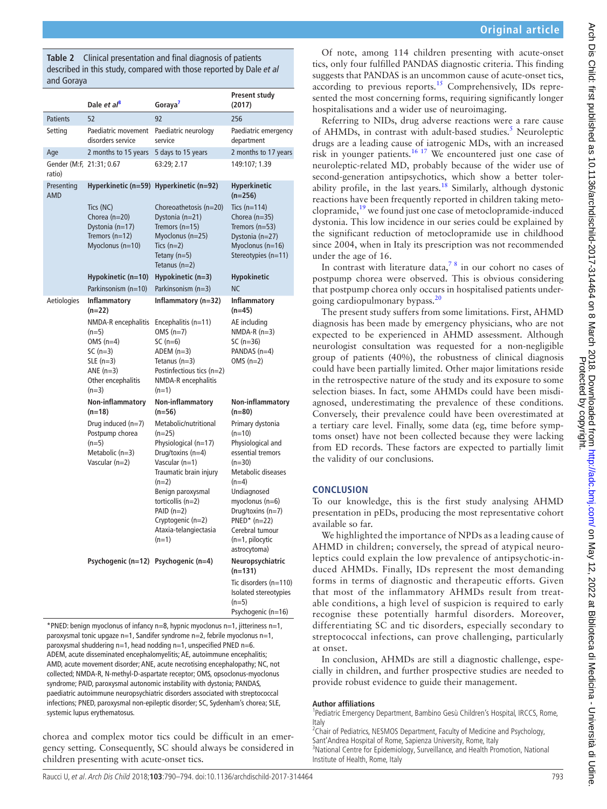<span id="page-3-0"></span>

|                                    | Dale et al <sup>8</sup>                                                                                                  | Goraya <sup>7</sup>                                                                                                                                                                                                                                      | <b>Present study</b><br>(2017)                                                                                                                                                                                                                        |
|------------------------------------|--------------------------------------------------------------------------------------------------------------------------|----------------------------------------------------------------------------------------------------------------------------------------------------------------------------------------------------------------------------------------------------------|-------------------------------------------------------------------------------------------------------------------------------------------------------------------------------------------------------------------------------------------------------|
| <b>Patients</b>                    | 52                                                                                                                       | 92                                                                                                                                                                                                                                                       | 256                                                                                                                                                                                                                                                   |
| Setting                            | Paediatric movement<br>disorders service                                                                                 | Paediatric neurology<br>service                                                                                                                                                                                                                          | Paediatric emergency<br>department                                                                                                                                                                                                                    |
| Age                                | 2 months to 15 years                                                                                                     | 5 days to 15 years                                                                                                                                                                                                                                       | 2 months to 17 years                                                                                                                                                                                                                                  |
| Gender (M:F, 21:31; 0.67<br>ratio) |                                                                                                                          | 63:29; 2.17                                                                                                                                                                                                                                              | 149:107; 1.39                                                                                                                                                                                                                                         |
| Presenting<br><b>AMD</b>           |                                                                                                                          | Hyperkinetic (n=59) Hyperkinetic (n=92)                                                                                                                                                                                                                  | <b>Hyperkinetic</b><br>$(n=256)$                                                                                                                                                                                                                      |
|                                    | Tics (NC)<br>Chorea $(n=20)$<br>Dystonia (n=17)<br>Tremors $(n=12)$<br>Myoclonus (n=10)                                  | Choreoathetosis (n=20)<br>Dystonia (n=21)<br>Tremors $(n=15)$<br>Myoclonus (n=25)<br>Tics $(n=2)$<br>Tetany $(n=5)$<br>Tetanus $(n=2)$                                                                                                                   | Tics $(n=114)$<br>Chorea (n=35)<br>Tremors (n=53)<br>Dystonia (n=27)<br>Myoclonus (n=16)<br>Stereotypies (n=11)                                                                                                                                       |
|                                    | Hypokinetic $(n=10)$                                                                                                     | Hypokinetic $(n=3)$                                                                                                                                                                                                                                      | <b>Hypokinetic</b>                                                                                                                                                                                                                                    |
|                                    | Parkinsonism (n=10)                                                                                                      | Parkinsonism (n=3)                                                                                                                                                                                                                                       | <b>NC</b>                                                                                                                                                                                                                                             |
| Aetiologies                        | <b>Inflammatory</b><br>$(n=22)$                                                                                          | Inflammatory (n=32)                                                                                                                                                                                                                                      | <b>Inflammatory</b><br>$(n=45)$                                                                                                                                                                                                                       |
|                                    | NMDA-R encephalitis<br>$(n=5)$<br>OMS $(n=4)$<br>$SC(n=3)$<br>$SLE(n=3)$<br>ANE $(n=3)$<br>Other encephalitis<br>$(n=3)$ | Encephalitis (n=11)<br>$OMS(n=7)$<br>$SC(n=6)$<br>$ADEM(n=3)$<br>Tetanus $(n=3)$<br>Postinfectious tics (n=2)<br>NMDA-R encephalitis<br>$(n=1)$                                                                                                          | AE including<br>$NMDA-R (n=3)$<br>$SC(n=36)$<br>PANDAS (n=4)<br>OMS $(n=2)$                                                                                                                                                                           |
|                                    | Non-inflammatory<br>$(n=18)$                                                                                             | Non-inflammatory<br>$(n=56)$                                                                                                                                                                                                                             | Non-inflammatory<br>$(n=80)$                                                                                                                                                                                                                          |
|                                    | Drug induced (n=7)<br>Postpump chorea<br>$(n=5)$<br>Metabolic (n=3)<br>Vascular (n=2)                                    | Metabolic/nutritional<br>$(n=25)$<br>Physiological (n=17)<br>Drug/toxins (n=4)<br>Vascular (n=1)<br>Traumatic brain injury<br>$(n=2)$<br>Benign paroxysmal<br>torticollis (n=2)<br>PAID $(n=2)$<br>Cryptogenic (n=2)<br>Ataxia-telangiectasia<br>$(n=1)$ | Primary dystonia<br>$(n=10)$<br>Physiological and<br>essential tremors<br>$(n=30)$<br>Metabolic diseases<br>$(n=4)$<br>Undiagnosed<br>myoclonus (n=6)<br>Drug/toxins (n=7)<br>PNED* $(n=22)$<br>Cerebral tumour<br>$(n=1, pilocytic)$<br>astrocytoma) |
|                                    | Psychogenic (n=12) Psychogenic (n=4)                                                                                     |                                                                                                                                                                                                                                                          | Neuropsychiatric<br>$(n=131)$<br>Tic disorders (n=110)<br>Isolated stereotypies<br>$(n=5)$<br>Psychogenic (n=16)                                                                                                                                      |

\*PNED: benign myoclonus of infancy n=8, hypnic myoclonus n=1, jitteriness n=1, paroxysmal tonic upgaze n=1, Sandifer syndrome n=2, febrile myoclonus n=1, paroxysmal shuddering  $n=1$ , head nodding  $n=1$ , unspecified PNED  $n=6$ . ADEM, acute disseminated encephalomyelitis; AE, autoimmune encephalitis; AMD, acute movement disorder; ANE, acute necrotising encephalopathy; NC, not collected; NMDA-R, N-methyl-D-aspartate receptor; OMS, opsoclonus-myoclonus syndrome; PAID, paroxysmal autonomic instability with dystonia; PANDAS, paediatric autoimmune neuropsychiatric disorders associated with streptococcal infections; PNED, paroxysmal non-epileptic disorder; SC, Sydenham's chorea; SLE, systemic lupus erythematosus.

chorea and complex motor tics could be difficult in an emergency setting. Consequently, SC should always be considered in children presenting with acute-onset tics.

Of note, among 114 children presenting with acute-onset tics, only four fulfilled PANDAS diagnostic criteria. This finding suggests that PANDAS is an uncommon cause of acute-onset tics, according to previous reports.<sup>15</sup> Comprehensively, IDs represented the most concerning forms, requiring significantly longer hospitalisations and a wider use of neuroimaging.

Referring to NIDs, drug adverse reactions were a rare cause of AHMDs, in contrast with adult-based studies.<sup>5</sup> Neuroleptic drugs are a leading cause of iatrogenic MDs, with an increased risk in younger patients.[16 17](#page-4-11) We encountered just one case of neuroleptic-related MD, probably because of the wider use of second-generation antipsychotics, which show a better tolerability profile, in the last years.<sup>18</sup> Similarly, although dystonic reactions have been frequently reported in children taking metoclopramide, $19$  we found just one case of metoclopramide-induced dystonia. This low incidence in our series could be explained by the significant reduction of metoclopramide use in childhood since 2004, when in Italy its prescription was not recommended under the age of 16.

In contrast with literature data,<sup>78</sup> in our cohort no cases of postpump chorea were observed. This is obvious considering that postpump chorea only occurs in hospitalised patients under-going cardiopulmonary bypass.<sup>[20](#page-4-14)</sup>

The present study suffers from some limitations. First, AHMD diagnosis has been made by emergency physicians, who are not expected to be experienced in AHMD assessment. Although neurologist consultation was requested for a non-negligible group of patients (40%), the robustness of clinical diagnosis could have been partially limited. Other major limitations reside in the retrospective nature of the study and its exposure to some selection biases. In fact, some AHMDs could have been misdiagnosed, underestimating the prevalence of these conditions. Conversely, their prevalence could have been overestimated at a tertiary care level. Finally, some data (eg, time before symptoms onset) have not been collected because they were lacking from ED records. These factors are expected to partially limit the validity of our conclusions.

# **Conclusion**

To our knowledge, this is the first study analysing AHMD presentation in pEDs, producing the most representative cohort available so far.

We highlighted the importance of NPDs as a leading cause of AHMD in children; conversely, the spread of atypical neuroleptics could explain the low prevalence of antipsychotic-induced AHMDs. Finally, IDs represent the most demanding forms in terms of diagnostic and therapeutic efforts. Given that most of the inflammatory AHMDs result from treatable conditions, a high level of suspicion is required to early recognise these potentially harmful disorders. Moreover, differentiating SC and tic disorders, especially secondary to streptococcal infections, can prove challenging, particularly at onset.

In conclusion, AHMDs are still a diagnostic challenge, especially in children, and further prospective studies are needed to provide robust evidence to guide their management.

#### **Author affiliations**

<sup>1</sup>Pediatric Emergency Department, Bambino Gesù Children's Hospital, IRCCS, Rome, Italy

<sup>2</sup>Chair of Pediatrics, NESMOS Department, Faculty of Medicine and Psychology, Sant'Andrea Hospital of Rome, Sapienza University, Rome, Italy <sup>3</sup>National Centre for Epidemiology, Surveillance, and Health Promotion, National Institute of Health, Rome, Italy